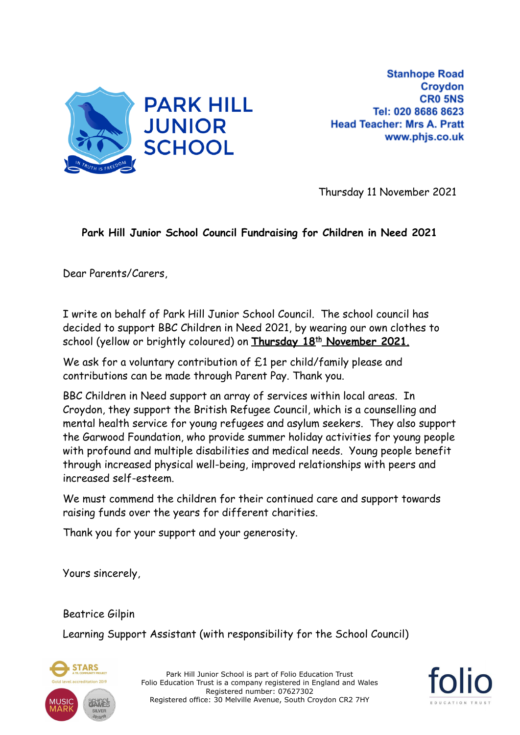

**Stanhope Road** Croydon **CRO 5NS** Tel: 020 8686 8623 **Head Teacher: Mrs A. Pratt** www.phjs.co.uk

Thursday 11 November 2021

## **Park Hill Junior School Council Fundraising for Children in Need 2021**

Dear Parents/Carers,

I write on behalf of Park Hill Junior School Council. The school council has decided to support BBC Children in Need 2021, by wearing our own clothes to school (yellow or brightly coloured) on **Thursday 18th November 2021**.

We ask for a voluntary contribution of £1 per child/family please and contributions can be made through Parent Pay. Thank you.

BBC Children in Need support an array of services within local areas. In Croydon, they support the British Refugee Council, which is a counselling and mental health service for young refugees and asylum seekers. They also support the Garwood Foundation, who provide summer holiday activities for young people with profound and multiple disabilities and medical needs. Young people benefit through increased physical well-being, improved relationships with peers and increased self-esteem.

We must commend the children for their continued care and support towards raising funds over the years for different charities.

Thank you for your support and your generosity.

Yours sincerely,

Beatrice Gilpin

Learning Support Assistant (with responsibility for the School Council)



Park Hill Junior School is part of Folio Education Trust Folio Education Trust is a company registered in England and Wales Registered number: 07627302 Registered office: 30 Melville Avenue, South Croydon CR2 7HY